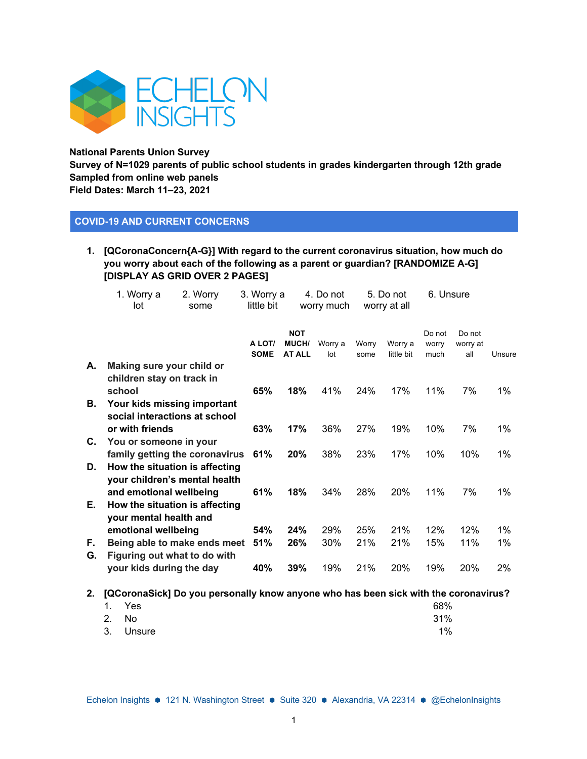

**National Parents Union Survey** 

**Survey of N=1029 parents of public school students in grades kindergarten through 12th grade Sampled from online web panels Field Dates: March 11–23, 2021**

### **COVID-19 AND CURRENT CONCERNS**

**1. [QCoronaConcern{A-G}] With regard to the current coronavirus situation, how much do you worry about each of the following as a parent or guardian? [RANDOMIZE A-G] [DISPLAY AS GRID OVER 2 PAGES]**

|          | 1. Worry a<br>lot                                                                                                            | 2. Worry<br>some | 3. Worry a<br>little bit |                                             | 4. Do not<br>worry much |               | 5. Do not<br>worry at all | 6. Unsure               |                           |                |
|----------|------------------------------------------------------------------------------------------------------------------------------|------------------|--------------------------|---------------------------------------------|-------------------------|---------------|---------------------------|-------------------------|---------------------------|----------------|
|          |                                                                                                                              |                  | A LOT/<br><b>SOME</b>    | <b>NOT</b><br><b>MUCH/</b><br><b>AT ALL</b> | Worry a<br>lot          | Worry<br>some | Worry a<br>little bit     | Do not<br>worry<br>much | Do not<br>worry at<br>all | Unsure         |
| А.       | Making sure your child or<br>children stay on track in<br>school                                                             |                  | 65%                      | 18%                                         | 41%                     | 24%           | 17%                       | 11%                     | 7%                        | $1\%$          |
| В.       | Your kids missing important<br>social interactions at school<br>or with friends                                              |                  | 63%                      | 17%                                         | 36%                     | 27%           | 19%                       | 10%                     | 7%                        | $1\%$          |
| С.       | You or someone in your<br>family getting the coronavirus                                                                     |                  | 61%                      | 20%                                         | 38%                     | 23%           | 17%                       | 10%                     | 10%                       | $1\%$          |
| D.<br>Е. | How the situation is affecting<br>your children's mental health<br>and emotional wellbeing<br>How the situation is affecting |                  | 61%                      | 18%                                         | 34%                     | 28%           | 20%                       | 11%                     | 7%                        | 1%             |
| F.<br>G. | your mental health and<br>emotional wellbeing<br>Being able to make ends meet<br>Figuring out what to do with                |                  | 54%<br>51%               | 24%<br>26%                                  | 29%<br>30%              | 25%<br>21%    | 21%<br>21%                | 12%<br>15%              | 12%<br>11%                | $1\%$<br>$1\%$ |
|          | your kids during the day                                                                                                     |                  | 40%                      | 39%                                         | 19%                     | 21%           | 20%                       | 19%                     | 20%                       | 2%             |

**2. [QCoronaSick] Do you personally know anyone who has been sick with the coronavirus?** 

|       | 1. Yes    | 68%   |
|-------|-----------|-------|
| 2. No |           | 31%   |
|       | 3. Unsure | $1\%$ |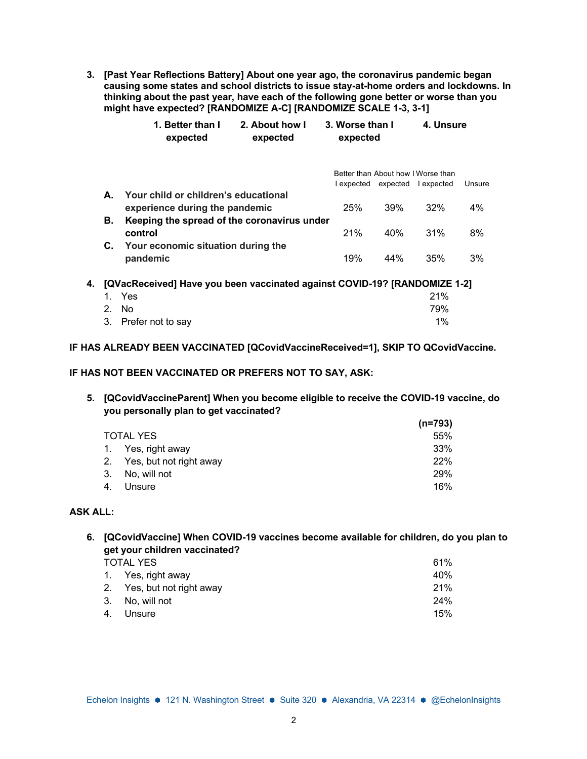**3. [Past Year Reflections Battery] About one year ago, the coronavirus pandemic began causing some states and school districts to issue stay-at-home orders and lockdowns. In thinking about the past year, have each of the following gone better or worse than you might have expected? [RANDOMIZE A-C] [RANDOMIZE SCALE 1-3, 3-1]**

|    |         | 1. Better than I<br>expected                                              | 2. About how I<br>expected | 3. Worse than I<br>expected |     | 4. Unsure                          |        |
|----|---------|---------------------------------------------------------------------------|----------------------------|-----------------------------|-----|------------------------------------|--------|
|    |         |                                                                           |                            |                             |     | Better than About how I Worse than |        |
|    |         |                                                                           |                            |                             |     | lexpected expected lexpected       | Unsure |
|    | А.      | Your child or children's educational                                      |                            |                             |     |                                    |        |
|    |         | experience during the pandemic                                            |                            | 25%                         | 39% | 32%                                | 4%     |
|    | В.      | Keeping the spread of the coronavirus under                               |                            |                             |     |                                    |        |
|    |         | control                                                                   |                            | 21%                         | 40% | 31%                                | 8%     |
|    | C.      | Your economic situation during the                                        |                            |                             |     |                                    |        |
|    |         | pandemic                                                                  |                            | 19%                         | 44% | 35%                                | 3%     |
| 4. |         | [QVacReceived] Have you been vaccinated against COVID-19? [RANDOMIZE 1-2] |                            |                             |     |                                    |        |
|    | 1.      | Yes                                                                       |                            |                             |     | 21%                                |        |
|    | $2_{-}$ | No.                                                                       |                            |                             |     | 79%                                |        |

3. Prefer not to say 1%

### **IF HAS ALREADY BEEN VACCINATED [QCovidVaccineReceived=1], SKIP TO QCovidVaccine.**

#### **IF HAS NOT BEEN VACCINATED OR PREFERS NOT TO SAY, ASK:**

**5. [QCovidVaccineParent] When you become eligible to receive the COVID-19 vaccine, do you personally plan to get vaccinated?**

|    |                            | $(n=793)$  |
|----|----------------------------|------------|
|    | <b>TOTAL YES</b>           | 55%        |
|    | 1. Yes, right away         | 33%        |
|    | 2. Yes, but not right away | 22%        |
|    | 3. No, will not            | <b>29%</b> |
| 4. | Unsure                     | 16%        |

### **ASK ALL:**

**6. [QCovidVaccine] When COVID-19 vaccines become available for children, do you plan to get your children vaccinated?** 

| <b>TOTAL YES</b>           | 61% |
|----------------------------|-----|
| 1. Yes, right away         | 40% |
| 2. Yes, but not right away | 21% |
| 3. No, will not            | 24% |
| 4. Unsure                  | 15% |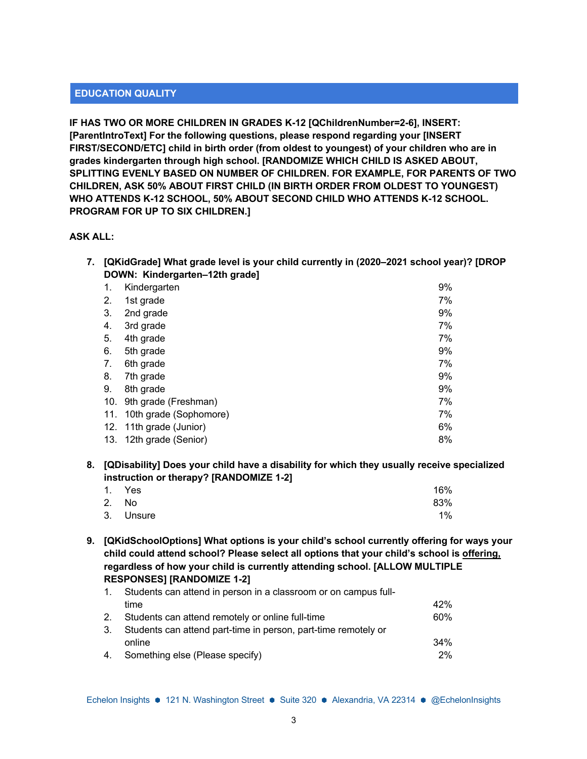### **EDUCATION QUALITY**

**IF HAS TWO OR MORE CHILDREN IN GRADES K-12 [QChildrenNumber=2-6], INSERT: [ParentIntroText] For the following questions, please respond regarding your [INSERT FIRST/SECOND/ETC] child in birth order (from oldest to youngest) of your children who are in grades kindergarten through high school. [RANDOMIZE WHICH CHILD IS ASKED ABOUT, SPLITTING EVENLY BASED ON NUMBER OF CHILDREN. FOR EXAMPLE, FOR PARENTS OF TWO CHILDREN, ASK 50% ABOUT FIRST CHILD (IN BIRTH ORDER FROM OLDEST TO YOUNGEST) WHO ATTENDS K-12 SCHOOL, 50% ABOUT SECOND CHILD WHO ATTENDS K-12 SCHOOL. PROGRAM FOR UP TO SIX CHILDREN.]**

#### **ASK ALL:**

**7. [QKidGrade] What grade level is your child currently in (2020–2021 school year)? [DROP DOWN: Kindergarten–12th grade]**

| 1.  | Kindergarten            | 9% |
|-----|-------------------------|----|
| 2.  | 1st grade               | 7% |
| 3.  | 2nd grade               | 9% |
| 4.  | 3rd grade               | 7% |
| 5.  | 4th grade               | 7% |
| 6.  | 5th grade               | 9% |
| 7.  | 6th grade               | 7% |
| 8.  | 7th grade               | 9% |
| 9.  | 8th grade               | 9% |
| 10. | 9th grade (Freshman)    | 7% |
| 11. | 10th grade (Sophomore)  | 7% |
|     | 12. 11th grade (Junior) | 6% |
| 13. | 12th grade (Senior)     | 8% |

**8. [QDisability] Does your child have a disability for which they usually receive specialized instruction or therapy? [RANDOMIZE 1-2]**

| 1. Yes    | 16% |
|-----------|-----|
| 2. No     | 83% |
| 3. Unsure | 1%  |

**9. [QKidSchoolOptions] What options is your child's school currently offering for ways your child could attend school? Please select all options that your child's school is offering, regardless of how your child is currently attending school. [ALLOW MULTIPLE RESPONSES] [RANDOMIZE 1-2]**

| $\mathbf{1}$ . | Students can attend in person in a classroom or on campus full- |     |  |  |  |
|----------------|-----------------------------------------------------------------|-----|--|--|--|
|                | time                                                            | 42% |  |  |  |
| 2.             | Students can attend remotely or online full-time                | 60% |  |  |  |
| 3.             | Students can attend part-time in person, part-time remotely or  |     |  |  |  |
|                | online                                                          | 34% |  |  |  |
| 4.             | Something else (Please specify)                                 | 2%  |  |  |  |
|                |                                                                 |     |  |  |  |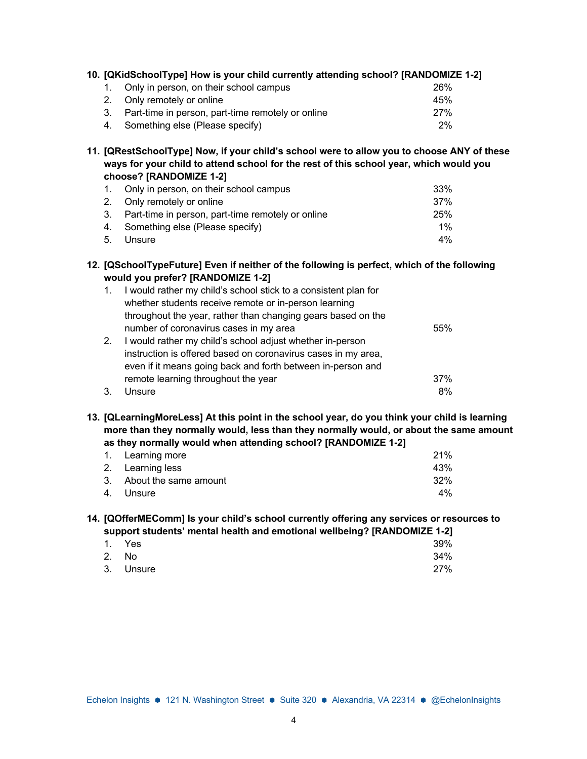|    | 10. [QKidSchoolType] How is your child currently attending school? [RANDOMIZE 1-2] |                 |
|----|------------------------------------------------------------------------------------|-----------------|
|    | Only in person, on their school campus                                             | 26 <sup>%</sup> |
|    | 2. Only remotely or online                                                         | 45%             |
| 3. | Part-time in person, part-time remotely or online                                  | 27%             |
| 4. | Something else (Please specify)                                                    | 2%              |

**11. [QRestSchoolType] Now, if your child's school were to allow you to choose ANY of these ways for your child to attend school for the rest of this school year, which would you choose? [RANDOMIZE 1-2]**

| 1. Only in person, on their school campus            | 33%   |
|------------------------------------------------------|-------|
| 2. Only remotely or online                           | 37%   |
| 3. Part-time in person, part-time remotely or online | 25%   |
| 4. Something else (Please specify)                   | $1\%$ |
| 5. Unsure                                            | $4\%$ |

### **12. [QSchoolTypeFuture] Even if neither of the following is perfect, which of the following would you prefer? [RANDOMIZE 1-2]**

| 1. | I would rather my child's school stick to a consistent plan for |     |
|----|-----------------------------------------------------------------|-----|
|    | whether students receive remote or in-person learning           |     |
|    | throughout the year, rather than changing gears based on the    |     |
|    | number of coronavirus cases in my area                          | 55% |
| 2. | I would rather my child's school adjust whether in-person       |     |
|    | instruction is offered based on coronavirus cases in my area,   |     |
|    | even if it means going back and forth between in-person and     |     |
|    | remote learning throughout the year                             | 37% |
| 3. | Unsure                                                          | 8%  |

**13. [QLearningMoreLess] At this point in the school year, do you think your child is learning more than they normally would, less than they normally would, or about the same amount as they normally would when attending school? [RANDOMIZE 1-2]**

| 1. Learning more         | 21%   |
|--------------------------|-------|
| 2. Learning less         | 43%   |
| 3. About the same amount | 32%   |
| 4. Unsure                | $4\%$ |

#### **14. [QOfferMEComm] Is your child's school currently offering any services or resources to support students' mental health and emotional wellbeing? [RANDOMIZE 1-2]**

|           |  | - - |     |
|-----------|--|-----|-----|
| 1. Yes    |  |     | 39% |
| 2. No     |  |     | 34% |
| 3. Unsure |  |     | 27% |
|           |  |     |     |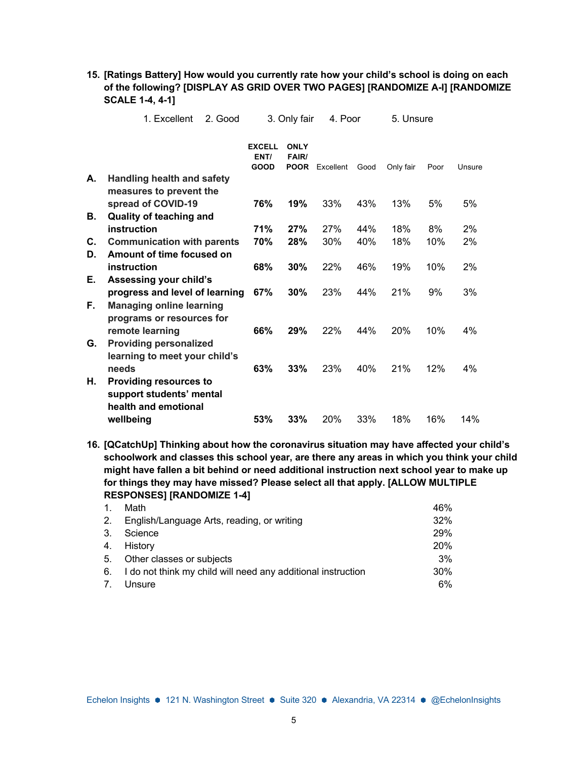|    | 1. Excellent                                             | 2. Good |                                      | 3. Only fair                        | 4. Poor   |      | 5. Unsure |      |        |
|----|----------------------------------------------------------|---------|--------------------------------------|-------------------------------------|-----------|------|-----------|------|--------|
|    |                                                          |         | <b>EXCELL</b><br>ENT/<br><b>GOOD</b> | <b>ONLY</b><br>FAIR/<br><b>POOR</b> | Excellent | Good | Only fair | Poor | Unsure |
| А. | <b>Handling health and safety</b>                        |         |                                      |                                     |           |      |           |      |        |
|    | measures to prevent the                                  |         | 76%                                  | 19%                                 | 33%       | 43%  | 13%       | 5%   | 5%     |
| В. | spread of COVID-19<br><b>Quality of teaching and</b>     |         |                                      |                                     |           |      |           |      |        |
|    | instruction                                              |         | <b>71%</b>                           | 27%                                 | 27%       | 44%  | 18%       | 8%   | 2%     |
| C. | <b>Communication with parents</b>                        |         | 70%                                  | <b>28%</b>                          | 30%       | 40%  | 18%       | 10%  | 2%     |
| D. | Amount of time focused on                                |         |                                      |                                     |           |      |           |      |        |
|    | instruction                                              |         | 68%                                  | 30%                                 | 22%       | 46%  | 19%       | 10%  | 2%     |
| Е. | Assessing your child's<br>progress and level of learning |         | 67%                                  | 30%                                 | 23%       | 44%  | 21%       | 9%   | 3%     |
| F. | <b>Managing online learning</b>                          |         |                                      |                                     |           |      |           |      |        |
|    | programs or resources for                                |         |                                      |                                     |           |      |           |      |        |
|    | remote learning                                          |         | 66%                                  | 29%                                 | 22%       | 44%  | 20%       | 10%  | 4%     |
| G. | <b>Providing personalized</b>                            |         |                                      |                                     |           |      |           |      |        |
|    | learning to meet your child's<br>needs                   |         | 63%                                  | 33%                                 | 23%       | 40%  | 21%       | 12%  | 4%     |
| Н. | <b>Providing resources to</b>                            |         |                                      |                                     |           |      |           |      |        |
|    | support students' mental                                 |         |                                      |                                     |           |      |           |      |        |
|    | health and emotional                                     |         |                                      |                                     |           |      |           |      |        |
|    | wellbeing                                                |         | 53%                                  | 33%                                 | 20%       | 33%  | 18%       | 16%  | 14%    |

**15. [Ratings Battery] How would you currently rate how your child's school is doing on each of the following? [DISPLAY AS GRID OVER TWO PAGES] [RANDOMIZE A-I] [RANDOMIZE SCALE 1-4, 4-1]**

**16. [QCatchUp] Thinking about how the coronavirus situation may have affected your child's schoolwork and classes this school year, are there any areas in which you think your child might have fallen a bit behind or need additional instruction next school year to make up for things they may have missed? Please select all that apply. [ALLOW MULTIPLE RESPONSES] [RANDOMIZE 1-4]**

| 1 <sub>1</sub> | Math                                                         | 46%        |
|----------------|--------------------------------------------------------------|------------|
| 2.             | English/Language Arts, reading, or writing                   | 32%        |
| 3.             | Science                                                      | <b>29%</b> |
| 4.             | History                                                      | 20%        |
| 5.             | Other classes or subjects                                    | 3%         |
| 6.             | I do not think my child will need any additional instruction | 30%        |
| 7.             | Unsure                                                       | 6%         |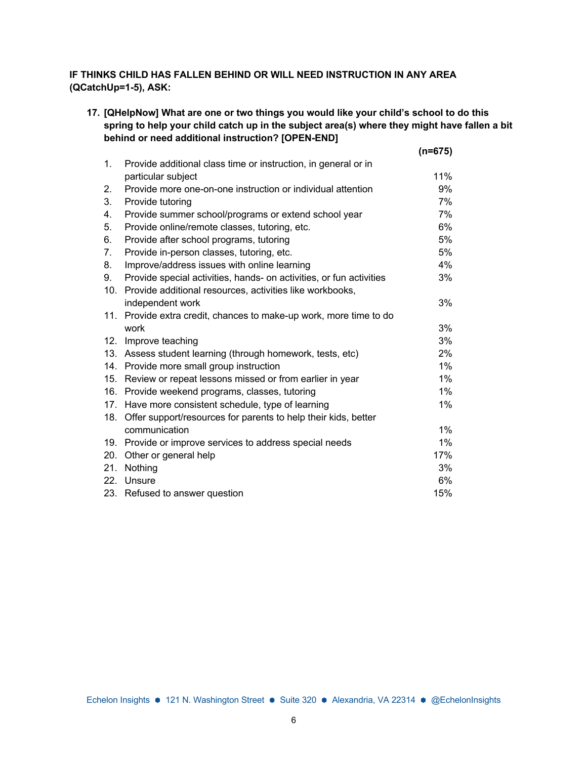### **IF THINKS CHILD HAS FALLEN BEHIND OR WILL NEED INSTRUCTION IN ANY AREA (QCatchUp=1-5), ASK:**

**17. [QHelpNow] What are one or two things you would like your child's school to do this spring to help your child catch up in the subject area(s) where they might have fallen a bit behind or need additional instruction? [OPEN-END] (n=675)**

|     |                                                                     | (n=675) |
|-----|---------------------------------------------------------------------|---------|
| 1.  | Provide additional class time or instruction, in general or in      |         |
|     | particular subject                                                  | 11%     |
| 2.  | Provide more one-on-one instruction or individual attention         | 9%      |
| 3.  | Provide tutoring                                                    | 7%      |
| 4.  | Provide summer school/programs or extend school year                | 7%      |
| 5.  | Provide online/remote classes, tutoring, etc.                       | 6%      |
| 6.  | Provide after school programs, tutoring                             | 5%      |
| 7.  | Provide in-person classes, tutoring, etc.                           | 5%      |
| 8.  | Improve/address issues with online learning                         | 4%      |
| 9.  | Provide special activities, hands- on activities, or fun activities | 3%      |
| 10. | Provide additional resources, activities like workbooks,            |         |
|     | independent work                                                    | 3%      |
| 11. | Provide extra credit, chances to make-up work, more time to do      |         |
|     | work                                                                | 3%      |
| 12. | Improve teaching                                                    | 3%      |
| 13. | Assess student learning (through homework, tests, etc)              | 2%      |
| 14. | Provide more small group instruction                                | 1%      |
| 15. | Review or repeat lessons missed or from earlier in year             | $1\%$   |
| 16. | Provide weekend programs, classes, tutoring                         | 1%      |
| 17. | Have more consistent schedule, type of learning                     | $1\%$   |
| 18. | Offer support/resources for parents to help their kids, better      |         |
|     | communication                                                       | 1%      |
|     | 19. Provide or improve services to address special needs            | $1\%$   |
| 20. | Other or general help                                               | 17%     |
| 21. | Nothing                                                             | 3%      |
| 22. | Unsure                                                              | 6%      |
| 23. | Refused to answer question                                          | 15%     |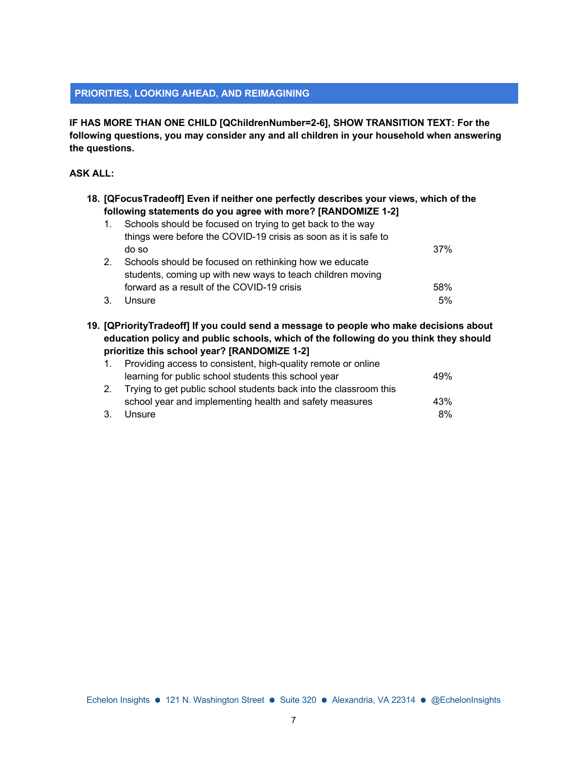#### **PRIORITIES, LOOKING AHEAD, AND REIMAGINING**

**IF HAS MORE THAN ONE CHILD [QChildrenNumber=2-6], SHOW TRANSITION TEXT: For the following questions, you may consider any and all children in your household when answering the questions.**

#### **ASK ALL:**

| 18. [QFocusTradeoff] Even if neither one perfectly describes your views, which of the<br>following statements do you agree with more? [RANDOMIZE 1-2] |                                                                                        |     |  |  |  |  |
|-------------------------------------------------------------------------------------------------------------------------------------------------------|----------------------------------------------------------------------------------------|-----|--|--|--|--|
| 1.                                                                                                                                                    | Schools should be focused on trying to get back to the way                             |     |  |  |  |  |
|                                                                                                                                                       | things were before the COVID-19 crisis as soon as it is safe to                        |     |  |  |  |  |
|                                                                                                                                                       | do so                                                                                  | 37% |  |  |  |  |
| 2.                                                                                                                                                    | Schools should be focused on rethinking how we educate                                 |     |  |  |  |  |
|                                                                                                                                                       | students, coming up with new ways to teach children moving                             |     |  |  |  |  |
|                                                                                                                                                       | forward as a result of the COVID-19 crisis                                             | 58% |  |  |  |  |
| 3.                                                                                                                                                    | Unsure                                                                                 | 5%  |  |  |  |  |
|                                                                                                                                                       | 19. [QPriorityTradeoff] If you could send a message to people who make decisions about |     |  |  |  |  |

**education policy and public schools, which of the following do you think they should prioritize this school year? [RANDOMIZE 1-2]**

|    | Providing access to consistent, high-quality remote or online     |     |
|----|-------------------------------------------------------------------|-----|
|    | learning for public school students this school year              | 49% |
| 2. | Trying to get public school students back into the classroom this |     |
|    | school year and implementing health and safety measures           | 43% |
| 3. | Unsure                                                            | 8%  |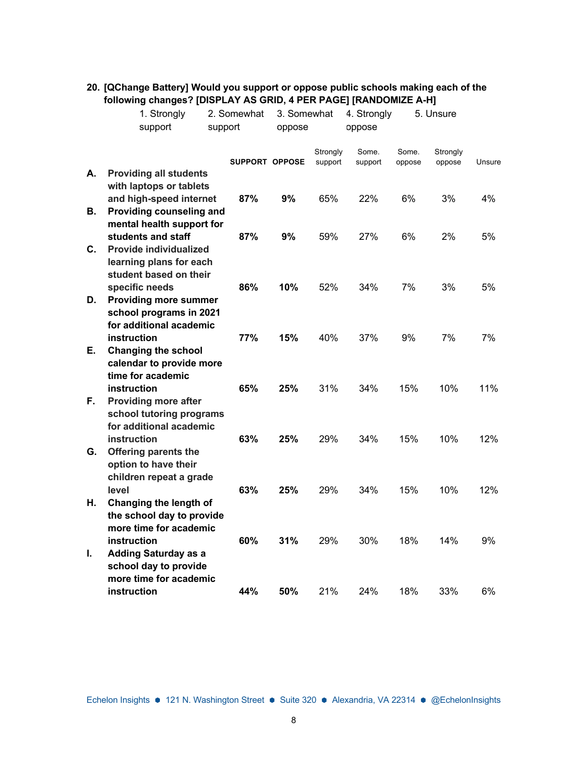|    | 1. Strongly<br>support                              | 2. Somewhat<br>support | 3. Somewhat<br>oppose |                     | 4. Strongly<br>oppose |                 | 5. Unsure          |        |
|----|-----------------------------------------------------|------------------------|-----------------------|---------------------|-----------------------|-----------------|--------------------|--------|
|    |                                                     |                        | <b>SUPPORT OPPOSE</b> | Strongly<br>support | Some.<br>support      | Some.<br>oppose | Strongly<br>oppose | Unsure |
| А. | <b>Providing all students</b>                       |                        |                       |                     |                       |                 |                    |        |
|    | with laptops or tablets<br>and high-speed internet  | 87%                    | 9%                    | 65%                 | 22%                   | 6%              | 3%                 | 4%     |
| В. | Providing counseling and                            |                        |                       |                     |                       |                 |                    |        |
|    | mental health support for                           |                        |                       |                     |                       |                 |                    |        |
|    | students and staff                                  | 87%                    | 9%                    | 59%                 | 27%                   | 6%              | 2%                 | 5%     |
| С. | <b>Provide individualized</b>                       |                        |                       |                     |                       |                 |                    |        |
|    | learning plans for each<br>student based on their   |                        |                       |                     |                       |                 |                    |        |
|    | specific needs                                      | 86%                    | 10%                   | 52%                 | 34%                   | 7%              | 3%                 | 5%     |
| D. | <b>Providing more summer</b>                        |                        |                       |                     |                       |                 |                    |        |
|    | school programs in 2021                             |                        |                       |                     |                       |                 |                    |        |
|    | for additional academic                             |                        |                       |                     |                       |                 |                    |        |
| Е. | instruction<br><b>Changing the school</b>           | 77%                    | 15%                   | 40%                 | 37%                   | 9%              | 7%                 | 7%     |
|    | calendar to provide more                            |                        |                       |                     |                       |                 |                    |        |
|    | time for academic                                   |                        |                       |                     |                       |                 |                    |        |
|    | instruction                                         | 65%                    | 25%                   | 31%                 | 34%                   | 15%             | 10%                | 11%    |
| F. | <b>Providing more after</b>                         |                        |                       |                     |                       |                 |                    |        |
|    | school tutoring programs                            |                        |                       |                     |                       |                 |                    |        |
|    | for additional academic<br>instruction              | 63%                    | 25%                   | 29%                 | 34%                   | 15%             | 10%                | 12%    |
| G. | <b>Offering parents the</b>                         |                        |                       |                     |                       |                 |                    |        |
|    | option to have their                                |                        |                       |                     |                       |                 |                    |        |
|    | children repeat a grade                             |                        |                       |                     |                       |                 |                    |        |
|    | level                                               | 63%                    | 25%                   | 29%                 | 34%                   | 15%             | 10%                | 12%    |
| Η. | Changing the length of                              |                        |                       |                     |                       |                 |                    |        |
|    | the school day to provide<br>more time for academic |                        |                       |                     |                       |                 |                    |        |
|    | instruction                                         | 60%                    | 31%                   | 29%                 | 30%                   | 18%             | 14%                | 9%     |
| T. | <b>Adding Saturday as a</b>                         |                        |                       |                     |                       |                 |                    |        |
|    | school day to provide                               |                        |                       |                     |                       |                 |                    |        |
|    | more time for academic                              |                        |                       |                     |                       |                 |                    |        |
|    | instruction                                         | 44%                    | 50%                   | 21%                 | 24%                   | 18%             | 33%                | $6\%$  |

### **20. [QChange Battery] Would you support or oppose public schools making each of the following changes? [DISPLAY AS GRID, 4 PER PAGE] [RANDOMIZE A-H]**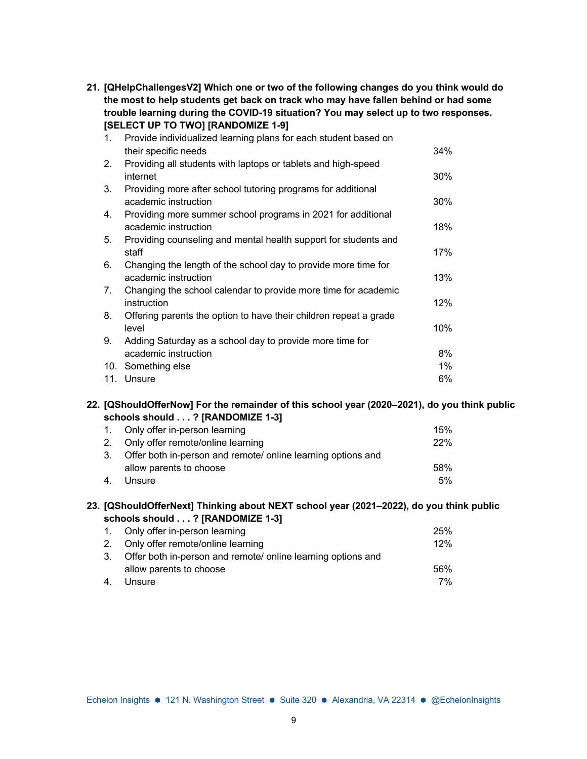**21. [QHelpChallengesV2] Which one or two of the following changes do you think would do the most to help students get back on track who may have fallen behind or had some trouble learning during the COVID-19 situation? You may select up to two responses. [SELECT UP TO TWO] [RANDOMIZE 1-9]**

| 1.  | Provide individualized learning plans for each student based on   |     |
|-----|-------------------------------------------------------------------|-----|
|     | their specific needs                                              | 34% |
| 2.  | Providing all students with laptops or tablets and high-speed     |     |
|     | internet                                                          | 30% |
| 3.  | Providing more after school tutoring programs for additional      |     |
|     | academic instruction                                              | 30% |
| 4.  | Providing more summer school programs in 2021 for additional      |     |
|     | academic instruction                                              | 18% |
| 5.  | Providing counseling and mental health support for students and   |     |
|     | staff                                                             | 17% |
| 6.  | Changing the length of the school day to provide more time for    |     |
|     | academic instruction                                              | 13% |
| 7.  | Changing the school calendar to provide more time for academic    |     |
|     | instruction                                                       | 12% |
| 8.  | Offering parents the option to have their children repeat a grade |     |
|     | level                                                             | 10% |
| 9.  | Adding Saturday as a school day to provide more time for          |     |
|     | academic instruction                                              | 8%  |
| 10. | Something else                                                    | 1%  |
|     | 11. Unsure                                                        | 6%  |

#### **22. [QShouldOfferNow] For the remainder of this school year (2020–2021), do you think public schools should . . . ? [RANDOMIZE 1-3]**

|    | 1. Only offer in-person learning                             | 15% |
|----|--------------------------------------------------------------|-----|
|    | 2. Only offer remote/online learning                         | 22% |
| 3. | Offer both in-person and remote/ online learning options and |     |
|    | allow parents to choose                                      | 58% |
| 4. | Unsure                                                       | 5%  |

#### **23. [QShouldOfferNext] Thinking about NEXT school year (2021–2022), do you think public schools should . . . ? [RANDOMIZE 1-3]**

|    | 1. Only offer in-person learning                                | 25% |
|----|-----------------------------------------------------------------|-----|
|    | 2. Only offer remote/online learning                            | 12% |
|    | 3. Offer both in-person and remote/ online learning options and |     |
|    | allow parents to choose                                         | 56% |
| 4. | Unsure                                                          | 7%  |
|    |                                                                 |     |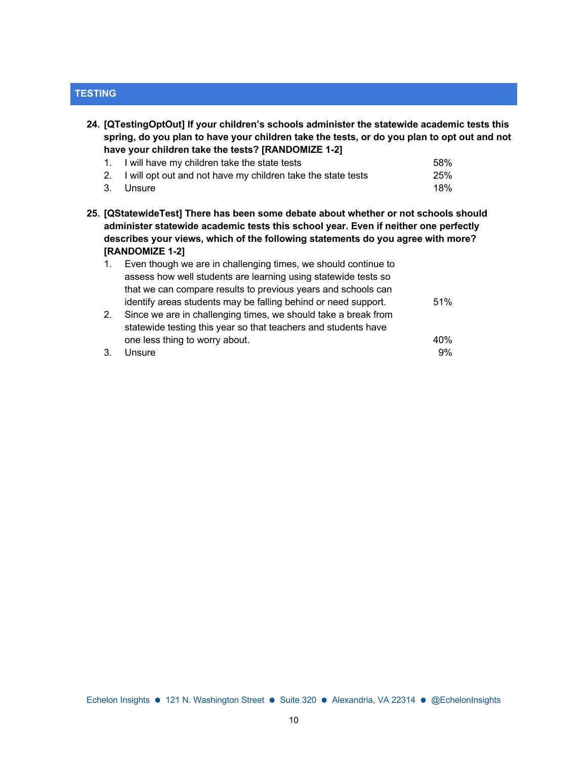### **TESTING**

**24. [QTestingOptOut] If your children's schools administer the statewide academic tests this spring, do you plan to have your children take the tests, or do you plan to opt out and not have your children take the tests? [RANDOMIZE 1-2]**

| 1. I will have my children take the state tests                 | 58%        |
|-----------------------------------------------------------------|------------|
| 2. I will opt out and not have my children take the state tests | <b>25%</b> |
| 3. Unsure                                                       | 18%        |

**25. [QStatewideTest] There has been some debate about whether or not schools should administer statewide academic tests this school year. Even if neither one perfectly describes your views, which of the following statements do you agree with more? [RANDOMIZE 1-2]**

| $1_{-}$ | Even though we are in challenging times, we should continue to |     |
|---------|----------------------------------------------------------------|-----|
|         | assess how well students are learning using statewide tests so |     |
|         | that we can compare results to previous years and schools can  |     |
|         | identify areas students may be falling behind or need support. | 51% |
| 2.      | Since we are in challenging times, we should take a break from |     |
|         | statewide testing this year so that teachers and students have |     |
|         | one less thing to worry about.                                 | 40% |
| 3       | Unsure                                                         | 9%  |

Echelon Insights ● 121 N. Washington Street ● Suite 320 ● Alexandria, VA 22314 ● @EchelonInsights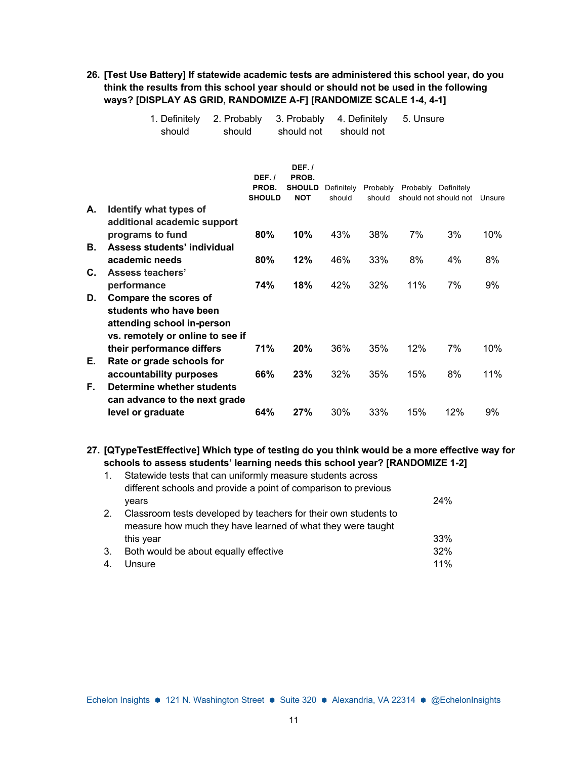**26. [Test Use Battery] If statewide academic tests are administered this school year, do you think the results from this school year should or should not be used in the following ways? [DISPLAY AS GRID, RANDOMIZE A-F] [RANDOMIZE SCALE 1-4, 4-1]**

5. Unsure

|          | 1. Definitely<br>should                                                                                                  | 2. Probably<br>should           | 3. Probably<br>should not                     |        | 4. Definitely<br>should not | 5. Unsure |                                                                  |        |
|----------|--------------------------------------------------------------------------------------------------------------------------|---------------------------------|-----------------------------------------------|--------|-----------------------------|-----------|------------------------------------------------------------------|--------|
|          |                                                                                                                          | DEF.1<br>PROB.<br><b>SHOULD</b> | DEF.1<br>PROB.<br><b>SHOULD</b><br><b>NOT</b> | should | should                      |           | Definitely Probably Probably Definitely<br>should not should not | Unsure |
| А.       | Identify what types of                                                                                                   |                                 |                                               |        |                             |           |                                                                  |        |
|          | additional academic support<br>programs to fund                                                                          | 80%                             | 10%                                           | 43%    | 38%                         | 7%        | 3%                                                               | 10%    |
| В.       | Assess students' individual<br>academic needs                                                                            | 80%                             | 12%                                           | 46%    | 33%                         | 8%        | 4%                                                               | 8%     |
| C.       | Assess teachers'                                                                                                         |                                 |                                               |        |                             |           |                                                                  |        |
|          | performance                                                                                                              | 74%                             | 18%                                           | 42%    | 32%                         | 11%       | 7%                                                               | 9%     |
| D.       | <b>Compare the scores of</b><br>students who have been<br>attending school in-person<br>vs. remotely or online to see if |                                 |                                               |        |                             |           |                                                                  |        |
|          | their performance differs                                                                                                | 71%                             | 20%                                           | 36%    | 35%                         | 12%       | 7%                                                               | 10%    |
| Е.<br>F. | Rate or grade schools for<br>accountability purposes<br>Determine whether students                                       | 66%                             | 23%                                           | 32%    | 35%                         | 15%       | 8%                                                               | 11%    |
|          | can advance to the next grade<br>level or graduate                                                                       | 64%                             | 27%                                           | 30%    | 33%                         | 15%       | 12%                                                              | 9%     |

**27. [QTypeTestEffective] Which type of testing do you think would be a more effective way for schools to assess students' learning needs this school year? [RANDOMIZE 1-2]**

| 1. | Statewide tests that can uniformly measure students across<br>different schools and provide a point of comparison to previous  |     |
|----|--------------------------------------------------------------------------------------------------------------------------------|-----|
|    | vears                                                                                                                          | 24% |
| 2. | Classroom tests developed by teachers for their own students to<br>measure how much they have learned of what they were taught |     |
|    | this year                                                                                                                      | 33% |
| 3. | Both would be about equally effective                                                                                          | 32% |
| 4. | Unsure                                                                                                                         | 11% |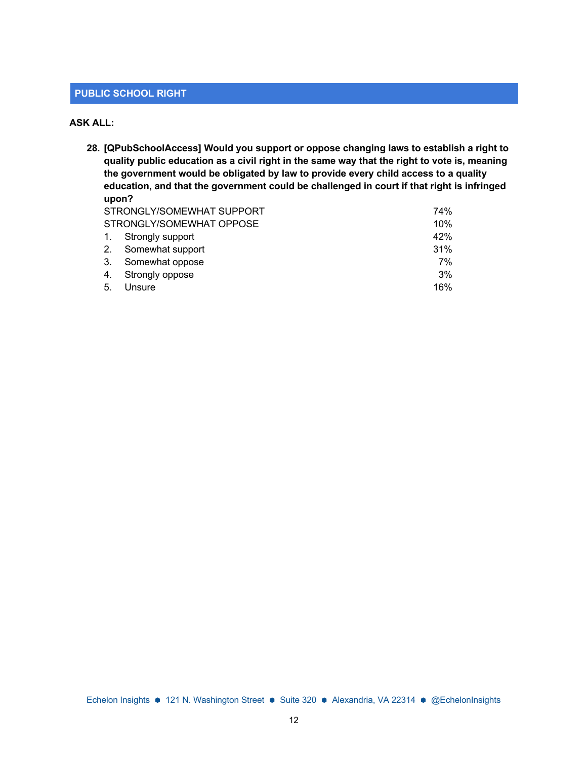#### **PUBLIC SCHOOL RIGHT**

#### **ASK ALL:**

**28. [QPubSchoolAccess] Would you support or oppose changing laws to establish a right to quality public education as a civil right in the same way that the right to vote is, meaning the government would be obligated by law to provide every child access to a quality education, and that the government could be challenged in court if that right is infringed upon?**  $SINCOMFWHAT$  SUPPORT  $740/$ 

|    | SIRONGLY/SOMEWHAI SUPPORT | 4%) |
|----|---------------------------|-----|
|    | STRONGLY/SOMEWHAT OPPOSE  | 10% |
|    | 1. Strongly support       | 42% |
|    | 2. Somewhat support       | 31% |
|    | 3. Somewhat oppose        | 7%  |
|    | 4. Strongly oppose        | 3%  |
| 5. | Unsure                    | 16% |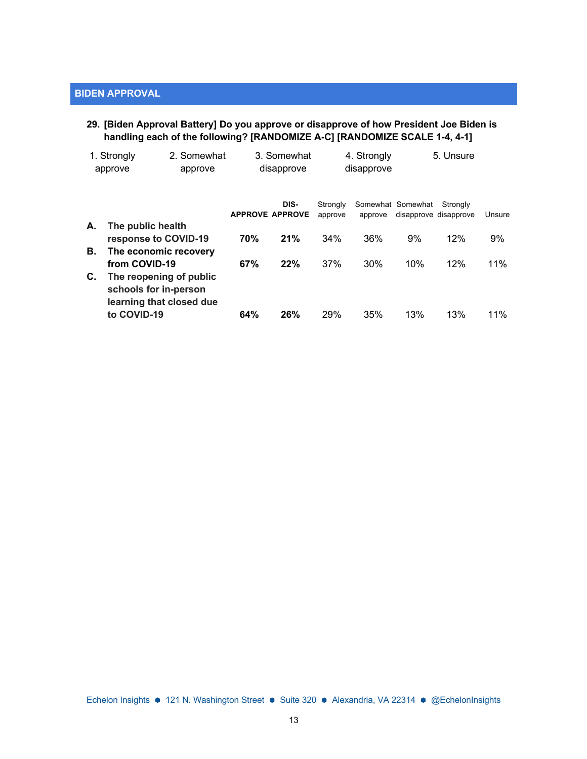#### **29. [Biden Approval Battery] Do you approve or disapprove of how President Joe Biden is handling each of the following? [RANDOMIZE A-C] [RANDOMIZE SCALE 1-4, 4-1]**

|    | 1. Strongly<br>2. Somewhat<br>approve<br>approve                             |                        | 3. Somewhat<br>disapprove |                     | 4. Strongly<br>disapprove |                                            | 5. Unsure |        |
|----|------------------------------------------------------------------------------|------------------------|---------------------------|---------------------|---------------------------|--------------------------------------------|-----------|--------|
|    |                                                                              | <b>APPROVE APPROVE</b> | DIS-                      | Strongly<br>approve | approve                   | Somewhat Somewhat<br>disapprove disapprove | Strongly  | Unsure |
| А. | The public health<br>response to COVID-19                                    | 70%                    | 21%                       | 34%                 | 36%                       | 9%                                         | 12%       | 9%     |
| В. | The economic recovery<br>from COVID-19                                       | 67%                    | 22%                       | 37%                 | 30%                       | 10%                                        | 12%       | 11%    |
| С. | The reopening of public<br>schools for in-person<br>learning that closed due |                        |                           |                     |                           |                                            |           |        |
|    | to COVID-19                                                                  | 64%                    | 26%                       | 29%                 | 35%                       | 13%                                        | 13%       | $11\%$ |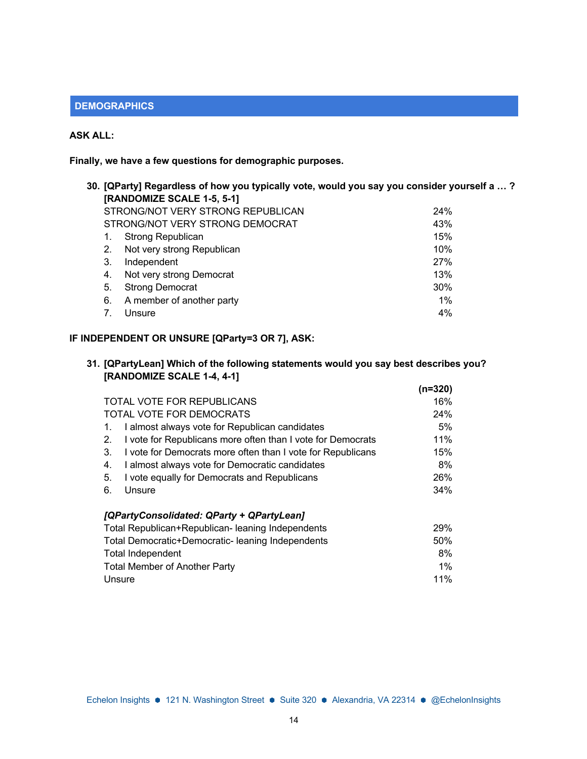### **DEMOGRAPHICS**

### **ASK ALL:**

**Finally, we have a few questions for demographic purposes.**

|    | 30. [QParty] Regardless of how you typically vote, would you say you consider yourself a … ? |     |  |  |  |  |  |
|----|----------------------------------------------------------------------------------------------|-----|--|--|--|--|--|
|    | [RANDOMIZE SCALE 1-5, 5-1]                                                                   |     |  |  |  |  |  |
|    | STRONG/NOT VERY STRONG REPUBLICAN                                                            | 24% |  |  |  |  |  |
|    | STRONG/NOT VERY STRONG DEMOCRAT                                                              | 43% |  |  |  |  |  |
| 1. | Strong Republican                                                                            | 15% |  |  |  |  |  |
| 2. | Not very strong Republican                                                                   | 10% |  |  |  |  |  |
| 3. | Independent                                                                                  | 27% |  |  |  |  |  |
| 4. | Not very strong Democrat                                                                     | 13% |  |  |  |  |  |
| 5. | <b>Strong Democrat</b>                                                                       | 30% |  |  |  |  |  |
| 6. | A member of another party                                                                    | 1%  |  |  |  |  |  |
|    | Unsure                                                                                       | 4%  |  |  |  |  |  |
|    |                                                                                              |     |  |  |  |  |  |

# **IF INDEPENDENT OR UNSURE [QParty=3 OR 7], ASK:**

|                            | 31. [QPartyLean] Which of the following statements would you say best describes you? |
|----------------------------|--------------------------------------------------------------------------------------|
| [RANDOMIZE SCALE 1-4, 4-1] |                                                                                      |

|                                                                   | (n=320) |
|-------------------------------------------------------------------|---------|
| <b>TOTAL VOTE FOR REPUBLICANS</b>                                 | 16%     |
| TOTAL VOTE FOR DEMOCRATS                                          | 24%     |
| I almost always vote for Republican candidates<br>1.              | 5%      |
| I vote for Republicans more often than I vote for Democrats<br>2. | 11%     |
| I vote for Democrats more often than I vote for Republicans<br>3. | 15%     |
| I almost always vote for Democratic candidates<br>4.              | 8%      |
| I vote equally for Democrats and Republicans<br>5.                | 26%     |
| 6.<br>Unsure                                                      | 34%     |
| [QPartyConsolidated: QParty + QPartyLean]                         |         |
| Total Republican+Republican- leaning Independents                 | 29%     |
| Total Democratic+Democratic-leaning Independents                  | $50\%$  |
| <b>Total Independent</b>                                          | 8%      |
| <b>Total Member of Another Party</b>                              | $1\%$   |
| Unsure                                                            | 11%     |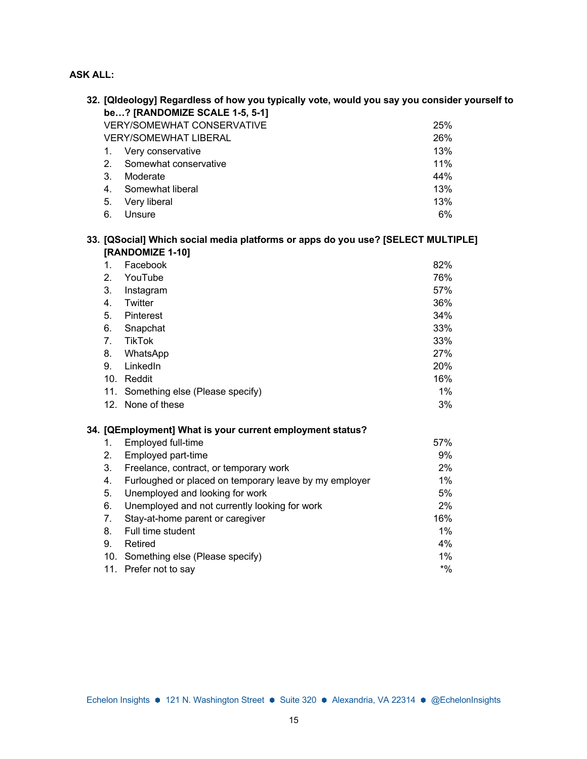# **ASK ALL:**

|    | 32. [Qldeology] Regardless of how you typically vote, would you say you consider yourself to |        |  |  |  |  |  |
|----|----------------------------------------------------------------------------------------------|--------|--|--|--|--|--|
|    | be? [RANDOMIZE SCALE 1-5, 5-1]                                                               |        |  |  |  |  |  |
|    | <b>VERY/SOMEWHAT CONSERVATIVE</b><br>25%                                                     |        |  |  |  |  |  |
|    | <b>VERY/SOMEWHAT LIBERAL</b>                                                                 | 26%    |  |  |  |  |  |
| 1. | Very conservative                                                                            | 13%    |  |  |  |  |  |
| 2. | Somewhat conservative                                                                        | 11%    |  |  |  |  |  |
| 3. | Moderate                                                                                     | 44%    |  |  |  |  |  |
| 4. | Somewhat liberal                                                                             | 13%    |  |  |  |  |  |
| 5. | Very liberal                                                                                 | 13%    |  |  |  |  |  |
| 6. | Unsure                                                                                       | 6%     |  |  |  |  |  |
|    | 33. [QSocial] Which social media platforms or apps do you use? [SELECT MULTIPLE]             |        |  |  |  |  |  |
|    | [RANDOMIZE 1-10]                                                                             |        |  |  |  |  |  |
| 1. | Facebook                                                                                     | 82%    |  |  |  |  |  |
| 2. | YouTube                                                                                      | 76%    |  |  |  |  |  |
| 3. | Instagram                                                                                    | 57%    |  |  |  |  |  |
| 4. | Twitter                                                                                      | 36%    |  |  |  |  |  |
| 5. | Pinterest                                                                                    | 34%    |  |  |  |  |  |
| 6. | Snapchat                                                                                     | 33%    |  |  |  |  |  |
| 7. | <b>TikTok</b>                                                                                | 33%    |  |  |  |  |  |
| 8. | WhatsApp                                                                                     | 27%    |  |  |  |  |  |
| 9. | LinkedIn                                                                                     | 20%    |  |  |  |  |  |
|    | 10. Reddit                                                                                   | 16%    |  |  |  |  |  |
|    | 11. Something else (Please specify)                                                          | 1%     |  |  |  |  |  |
|    | 12. None of these                                                                            | 3%     |  |  |  |  |  |
|    | 34. [QEmployment] What is your current employment status?                                    |        |  |  |  |  |  |
| 1. | Employed full-time                                                                           | 57%    |  |  |  |  |  |
| 2. | Employed part-time                                                                           | 9%     |  |  |  |  |  |
| 3. | Freelance, contract, or temporary work                                                       | 2%     |  |  |  |  |  |
| 4. | Furloughed or placed on temporary leave by my employer                                       | 1%     |  |  |  |  |  |
| 5. | Unemployed and looking for work                                                              | 5%     |  |  |  |  |  |
| 6. | Unemployed and not currently looking for work                                                | 2%     |  |  |  |  |  |
| 7. | Stay-at-home parent or caregiver                                                             | 16%    |  |  |  |  |  |
| 8. | Full time student                                                                            | 1%     |  |  |  |  |  |
| 9. | Retired                                                                                      | 4%     |  |  |  |  |  |
|    | 10. Something else (Please specify)                                                          | 1%     |  |  |  |  |  |
|    | 11. Prefer not to say                                                                        | $*9/0$ |  |  |  |  |  |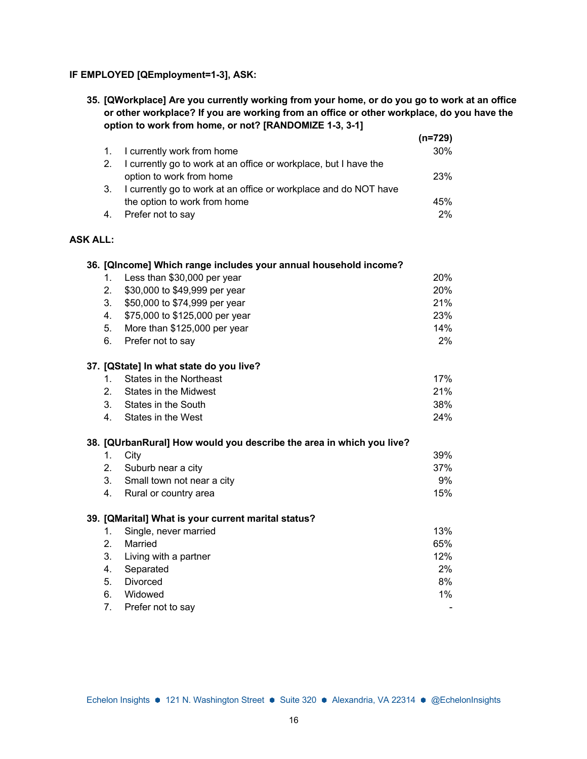## **IF EMPLOYED [QEmployment=1-3], ASK:**

**35. [QWorkplace] Are you currently working from your home, or do you go to work at an office or other workplace? If you are working from an office or other workplace, do you have the option to work from home, or not? [RANDOMIZE 1-3, 3-1] (n=729)**

|                 |    |                                                                      | $(n=729)$ |
|-----------------|----|----------------------------------------------------------------------|-----------|
|                 | 1. | I currently work from home                                           | 30%       |
|                 | 2. | I currently go to work at an office or workplace, but I have the     |           |
|                 |    | option to work from home                                             | 23%       |
|                 | 3. | I currently go to work at an office or workplace and do NOT have     |           |
|                 |    | the option to work from home                                         | 45%       |
|                 | 4. | Prefer not to say                                                    | 2%        |
| <b>ASK ALL:</b> |    |                                                                      |           |
|                 |    | 36. [QIncome] Which range includes your annual household income?     |           |
|                 | 1. | Less than \$30,000 per year                                          | 20%       |
|                 | 2. | \$30,000 to \$49,999 per year                                        | 20%       |
|                 | 3. | \$50,000 to \$74,999 per year                                        | 21%       |
|                 | 4. | \$75,000 to \$125,000 per year                                       | 23%       |
|                 | 5. | More than \$125,000 per year                                         | 14%       |
|                 | 6. | Prefer not to say                                                    | 2%        |
|                 |    | 37. [QState] In what state do you live?                              |           |
|                 | 1. | <b>States in the Northeast</b>                                       | 17%       |
|                 | 2. | <b>States in the Midwest</b>                                         | 21%       |
|                 | 3. | States in the South                                                  | 38%       |
|                 | 4. | States in the West                                                   | 24%       |
|                 |    | 38. [QUrbanRural] How would you describe the area in which you live? |           |
|                 | 1. | City                                                                 | 39%       |
|                 | 2. | Suburb near a city                                                   | 37%       |
|                 | 3. | Small town not near a city                                           | 9%        |
|                 | 4. | Rural or country area                                                | 15%       |
|                 |    | 39. [QMarital] What is your current marital status?                  |           |
|                 | 1. | Single, never married                                                | 13%       |
|                 | 2. | Married                                                              | 65%       |
|                 | 3. | Living with a partner                                                | 12%       |
|                 | 4. | Separated                                                            | 2%        |
|                 | 5. | Divorced                                                             | 8%        |
|                 | 6. | Widowed                                                              | $1\%$     |
|                 | 7. | Prefer not to say                                                    |           |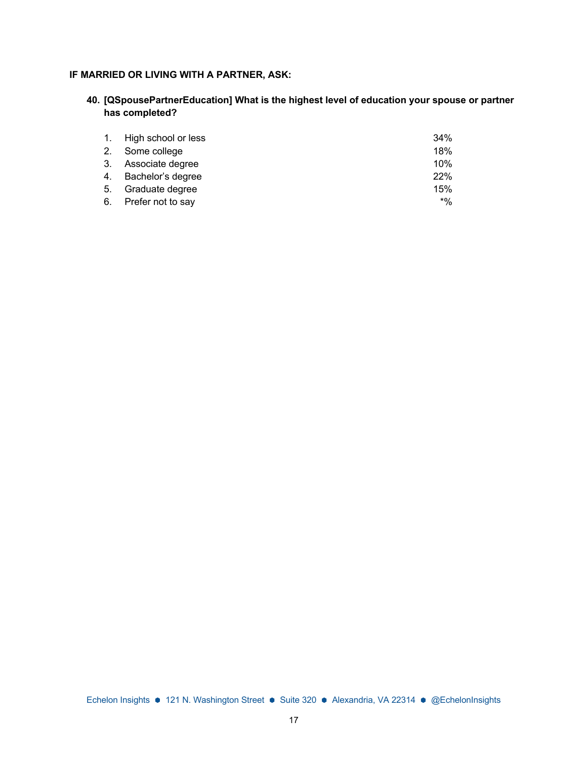### **IF MARRIED OR LIVING WITH A PARTNER, ASK:**

**40. [QSpousePartnerEducation] What is the highest level of education your spouse or partner has completed?**

| 1. High school or less | 34%   |
|------------------------|-------|
| 2. Some college        | 18%   |
| 3. Associate degree    | 10%   |
| 4. Bachelor's degree   | 22%   |
| 5. Graduate degree     | 15%   |
| 6. Prefer not to say   | $*$ % |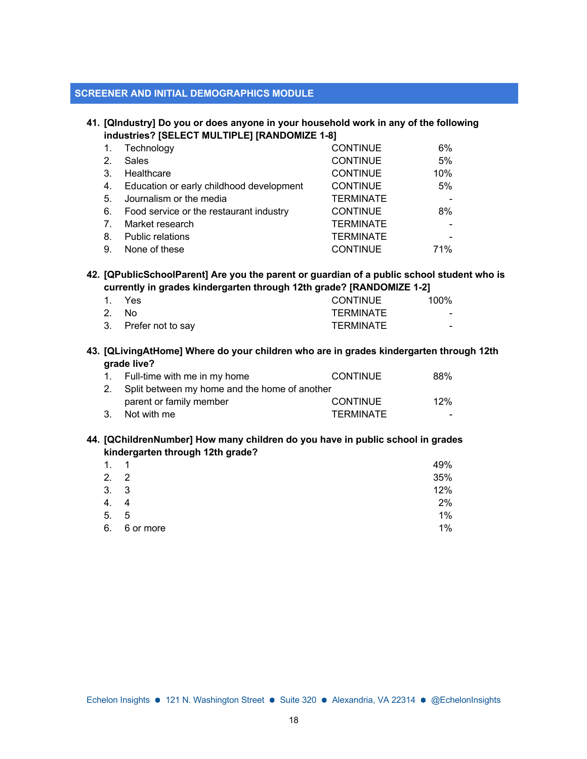#### **SCREENER AND INITIAL DEMOGRAPHICS MODULE**

#### **41. [QIndustry] Do you or does anyone in your household work in any of the following industries? [SELECT MULTIPLE] [RANDOMIZE 1-8]**

|    | Technology                               | <b>CONTINUE</b>  | 6%  |
|----|------------------------------------------|------------------|-----|
| 2. | <b>Sales</b>                             | <b>CONTINUE</b>  | 5%  |
| 3. | Healthcare                               | <b>CONTINUE</b>  | 10% |
| 4. | Education or early childhood development | <b>CONTINUE</b>  | 5%  |
| 5. | Journalism or the media                  | <b>TERMINATE</b> |     |
| 6. | Food service or the restaurant industry  | <b>CONTINUE</b>  | 8%  |
| 7. | Market research                          | <b>TERMINATE</b> |     |
| 8. | <b>Public relations</b>                  | <b>TERMINATE</b> |     |
| 9. | None of these                            | <b>CONTINUE</b>  | 71% |

#### **42. [QPublicSchoolParent] Are you the parent or guardian of a public school student who is currently in grades kindergarten through 12th grade? [RANDOMIZE 1-2]**

| 1. Yes               | CONTINUE  | $100\%$ |
|----------------------|-----------|---------|
| 2. No                | TFRMINATF | $\sim$  |
| 3. Prefer not to say | TERMINATE | -       |

#### **43. [QLivingAtHome] Where do your children who are in grades kindergarten through 12th grade live?**

| 1. Full-time with me in my home                  | <b>CONTINUE</b>  | 88% |
|--------------------------------------------------|------------------|-----|
| 2. Split between my home and the home of another |                  |     |
| parent or family member                          | <b>CONTINUE</b>  | 12% |
| 3. Not with me                                   | <b>TERMINATE</b> |     |

#### **44. [QChildrenNumber] How many children do you have in public school in grades kindergarten through 12th grade?**

| 1.   | $\overline{1}$ | 49%   |
|------|----------------|-------|
| 2.2  |                | 35%   |
| 3. 3 |                | 12%   |
| 4.   | 4              | 2%    |
| 5.   | - 5            | $1\%$ |
| 6.   | 6 or more      | $1\%$ |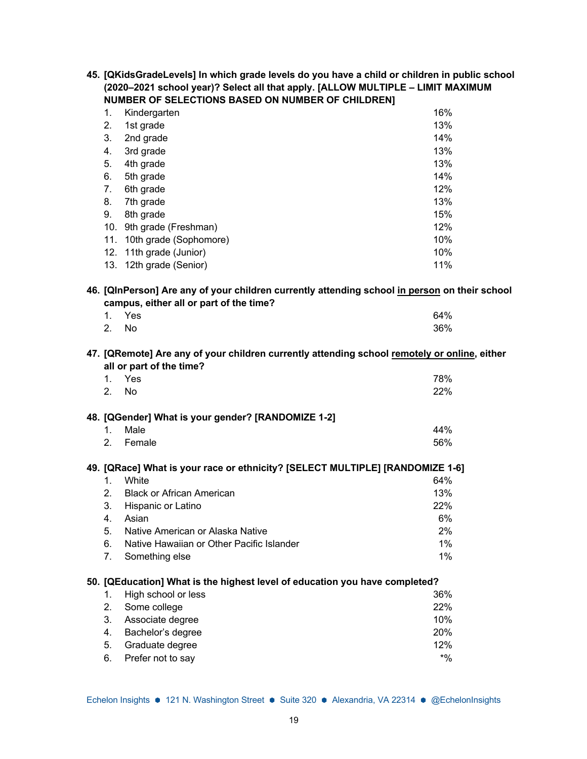| 45. [QKidsGradeLevels] In which grade levels do you have a child or children in public school |
|-----------------------------------------------------------------------------------------------|
| (2020–2021 school year)? Select all that apply. [ALLOW MULTIPLE - LIMIT MAXIMUM               |
| <b>NUMBER OF SELECTIONS BASED ON NUMBER OF CHILDRENI</b>                                      |

| 1.  | Kindergarten            | 16% |
|-----|-------------------------|-----|
| 2.  | 1st grade               | 13% |
| 3.  | 2nd grade               | 14% |
| 4.  | 3rd grade               | 13% |
| 5.  | 4th grade               | 13% |
| 6.  | 5th grade               | 14% |
| 7.  | 6th grade               | 12% |
| 8.  | 7th grade               | 13% |
| 9.  | 8th grade               | 15% |
| 10. | 9th grade (Freshman)    | 12% |
| 11. | 10th grade (Sophomore)  | 10% |
|     | 12. 11th grade (Junior) | 10% |
|     | 13. 12th grade (Senior) | 11% |

### **46. [QInPerson] Are any of your children currently attending school in person on their school campus, either all or part of the time?**

|       | 1. Yes | 64% |
|-------|--------|-----|
| 2. No |        | 36% |

#### **47. [QRemote] Are any of your children currently attending school remotely or online, either all or part of the time?**

| 1.<br>2. No   | Yes                                                | 78%<br>22% |
|---------------|----------------------------------------------------|------------|
|               | 48. [QGender] What is your gender? [RANDOMIZE 1-2] |            |
| $1_{\cdot}$   | Male                                               | 44%        |
| $\mathcal{P}$ | Female                                             | 56%        |

# **49. [QRace] What is your race or ethnicity? [SELECT MULTIPLE] [RANDOMIZE 1-6]**

| $1_{-}$ | White                                        | 64%   |
|---------|----------------------------------------------|-------|
|         | 2. Black or African American                 | 13%   |
|         | 3. Hispanic or Latino                        | 22%   |
|         | 4. Asian                                     | 6%    |
|         | 5. Native American or Alaska Native          | 2%    |
|         | 6. Native Hawaiian or Other Pacific Islander | $1\%$ |
|         | 7. Something else                            | $1\%$ |

#### **50. [QEducation] What is the highest level of education you have completed?**

| 1. High school or less | 36%   |
|------------------------|-------|
| 2. Some college        | 22%   |
| 3. Associate degree    | 10%   |
| 4. Bachelor's degree   | 20%   |
| 5. Graduate degree     | 12%   |
| 6. Prefer not to say   | $*$ % |
|                        |       |